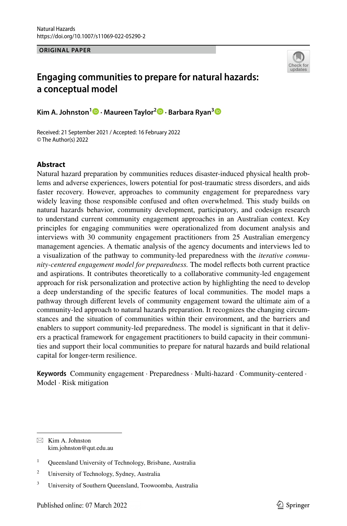**ORIGINAL PAPER**



# **Engaging communities to prepare for natural hazards: a conceptual model**

**Kim A. Johnston1 · Maureen Taylor2 · Barbara Ryan[3](http://orcid.org/0000-0002-3338-8887)**

Received: 21 September 2021 / Accepted: 16 February 2022 © The Author(s) 2022

# **Abstract**

Natural hazard preparation by communities reduces disaster-induced physical health problems and adverse experiences, lowers potential for post-traumatic stress disorders, and aids faster recovery. However, approaches to community engagement for preparedness vary widely leaving those responsible confused and often overwhelmed. This study builds on natural hazards behavior, community development, participatory, and codesign research to understand current community engagement approaches in an Australian context. Key principles for engaging communities were operationalized from document analysis and interviews with 30 community engagement practitioners from 25 Australian emergency management agencies. A thematic analysis of the agency documents and interviews led to a visualization of the pathway to community-led preparedness with the *iterative community-centered engagement model for preparedness.* The model refects both current practice and aspirations. It contributes theoretically to a collaborative community-led engagement approach for risk personalization and protective action by highlighting the need to develop a deep understanding of the specifc features of local communities. The model maps a pathway through diferent levels of community engagement toward the ultimate aim of a community-led approach to natural hazards preparation. It recognizes the changing circumstances and the situation of communities within their environment, and the barriers and enablers to support community-led preparedness. The model is signifcant in that it delivers a practical framework for engagement practitioners to build capacity in their communities and support their local communities to prepare for natural hazards and build relational capital for longer-term resilience.

**Keywords** Community engagement · Preparedness · Multi-hazard · Community-centered · Model · Risk mitigation

 $\boxtimes$  Kim A. Johnston kim.johnston@qut.edu.au

<sup>&</sup>lt;sup>1</sup> Queensland University of Technology, Brisbane, Australia

<sup>2</sup> University of Technology, Sydney, Australia

<sup>&</sup>lt;sup>3</sup> University of Southern Queensland, Toowoomba, Australia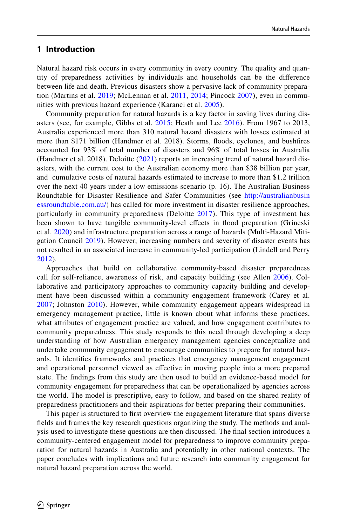# **1 Introduction**

Natural hazard risk occurs in every community in every country. The quality and quantity of preparedness activities by individuals and households can be the diference between life and death. Previous disasters show a pervasive lack of community preparation (Martins et al. [2019;](#page-18-0) McLennan et al. [2011](#page-18-1), [2014;](#page-18-2) Pincock [2007](#page-19-0)), even in communities with previous hazard experience (Karanci et al. [2005](#page-18-3)).

Community preparation for natural hazards is a key factor in saving lives during disasters (see, for example, Gibbs et al. [2015](#page-17-0); Heath and Lee [2016\)](#page-18-4). From 1967 to 2013, Australia experienced more than 310 natural hazard disasters with losses estimated at more than \$171 billion (Handmer et al. 2018). Storms, foods, cyclones, and bushfres accounted for 93% of total number of disasters and 96% of total losses in Australia (Handmer et al. 2018). Deloitte ([2021\)](#page-17-1) reports an increasing trend of natural hazard disasters, with the current cost to the Australian economy more than \$38 billion per year, and cumulative costs of natural hazards estimated to increase to more than \$1.2 trillion over the next 40 years under a low emissions scenario (p. 16). The Australian Business Roundtable for Disaster Resilience and Safer Communities (see [http://australianbusin](http://australianbusinessroundtable.com.au/) [essroundtable.com.au/\)](http://australianbusinessroundtable.com.au/) has called for more investment in disaster resilience approaches, particularly in community preparedness (Deloitte [2017](#page-17-2)). This type of investment has been shown to have tangible community-level effects in flood preparation (Grineski et al. [2020\)](#page-18-5) and infrastructure preparation across a range of hazards (Multi-Hazard Mitigation Council [2019\)](#page-18-6). However, increasing numbers and severity of disaster events has not resulted in an associated increase in community-led participation (Lindell and Perry [2012](#page-18-7)).

Approaches that build on collaborative community-based disaster preparedness call for self-reliance, awareness of risk, and capacity building (see Allen [2006\)](#page-17-3). Collaborative and participatory approaches to community capacity building and development have been discussed within a community engagement framework (Carey et al. [2007](#page-17-4); Johnston [2010](#page-18-8)). However, while community engagement appears widespread in emergency management practice, little is known about what informs these practices, what attributes of engagement practice are valued, and how engagement contributes to community preparedness. This study responds to this need through developing a deep understanding of how Australian emergency management agencies conceptualize and undertake community engagement to encourage communities to prepare for natural hazards. It identifes frameworks and practices that emergency management engagement and operational personnel viewed as efective in moving people into a more prepared state. The fndings from this study are then used to build an evidence-based model for community engagement for preparedness that can be operationalized by agencies across the world. The model is prescriptive, easy to follow, and based on the shared reality of preparedness practitioners and their aspirations for better preparing their communities.

This paper is structured to frst overview the engagement literature that spans diverse felds and frames the key research questions organizing the study. The methods and analysis used to investigate these questions are then discussed. The fnal section introduces a community-centered engagement model for preparedness to improve community preparation for natural hazards in Australia and potentially in other national contexts. The paper concludes with implications and future research into community engagement for natural hazard preparation across the world.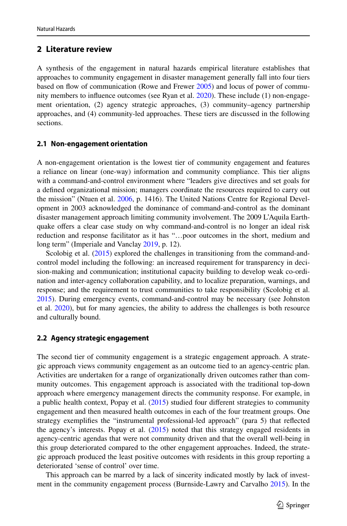# **2 Literature review**

A synthesis of the engagement in natural hazards empirical literature establishes that approaches to community engagement in disaster management generally fall into four tiers based on flow of communication (Rowe and Frewer [2005\)](#page-19-1) and locus of power of community members to infuence outcomes (see Ryan et al. [2020\)](#page-19-2). These include (1) non-engagement orientation, (2) agency strategic approaches, (3) community–agency partnership approaches, and (4) community-led approaches. These tiers are discussed in the following sections.

#### **2.1 Non‑engagement orientation**

A non-engagement orientation is the lowest tier of community engagement and features a reliance on linear (one-way) information and community compliance. This tier aligns with a command-and-control environment where "leaders give directives and set goals for a defned organizational mission; managers coordinate the resources required to carry out the mission" (Ntuen et al. [2006,](#page-19-3) p. 1416). The United Nations Centre for Regional Development in 2003 acknowledged the dominance of command-and-control as the dominant disaster management approach limiting community involvement. The 2009 L'Aquila Earthquake ofers a clear case study on why command-and-control is no longer an ideal risk reduction and response facilitator as it has "…poor outcomes in the short, medium and long term" (Imperiale and Vanclay [2019](#page-18-9), p. 12).

Scolobig et al. ([2015\)](#page-19-4) explored the challenges in transitioning from the command-andcontrol model including the following: an increased requirement for transparency in decision-making and communication; institutional capacity building to develop weak co-ordination and inter-agency collaboration capability, and to localize preparation, warnings, and response; and the requirement to trust communities to take responsibility (Scolobig et al. [2015\)](#page-19-4). During emergency events, command-and-control may be necessary (see Johnston et al. [2020](#page-18-10)), but for many agencies, the ability to address the challenges is both resource and culturally bound.

#### **2.2 Agency strategic engagement**

The second tier of community engagement is a strategic engagement approach. A strategic approach views community engagement as an outcome tied to an agency-centric plan. Activities are undertaken for a range of organizationally driven outcomes rather than community outcomes. This engagement approach is associated with the traditional top-down approach where emergency management directs the community response. For example, in a public health context, Popay et al.  $(2015)$  $(2015)$  studied four different strategies to community engagement and then measured health outcomes in each of the four treatment groups. One strategy exemplifes the "instrumental professional-led approach" (para 5) that refected the agency's interests. Popay et al.  $(2015)$  $(2015)$  noted that this strategy engaged residents in agency-centric agendas that were not community driven and that the overall well-being in this group deteriorated compared to the other engagement approaches. Indeed, the strategic approach produced the least positive outcomes with residents in this group reporting a deteriorated 'sense of control' over time.

This approach can be marred by a lack of sincerity indicated mostly by lack of investment in the community engagement process (Burnside-Lawry and Carvalho [2015\)](#page-17-5). In the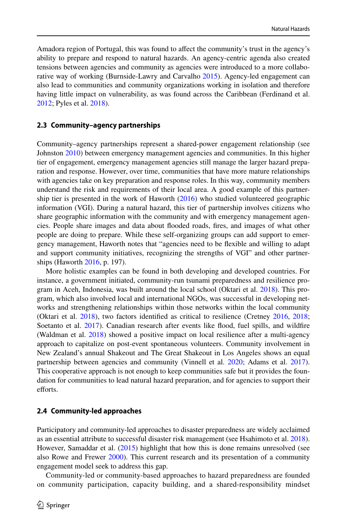Amadora region of Portugal, this was found to afect the community's trust in the agency's ability to prepare and respond to natural hazards. An agency-centric agenda also created tensions between agencies and community as agencies were introduced to a more collaborative way of working (Burnside-Lawry and Carvalho [2015\)](#page-17-5). Agency-led engagement can also lead to communities and community organizations working in isolation and therefore having little impact on vulnerability, as was found across the Caribbean (Ferdinand et al. [2012;](#page-17-6) Pyles et al. [2018](#page-19-6)).

#### **2.3 Community–agency partnerships**

Community–agency partnerships represent a shared-power engagement relationship (see Johnston [2010\)](#page-18-8) between emergency management agencies and communities. In this higher tier of engagement, emergency management agencies still manage the larger hazard preparation and response. However, over time, communities that have more mature relationships with agencies take on key preparation and response roles. In this way, community members understand the risk and requirements of their local area. A good example of this partner-ship tier is presented in the work of Haworth ([2016\)](#page-18-11) who studied volunteered geographic information (VGI). During a natural hazard, this tier of partnership involves citizens who share geographic information with the community and with emergency management agencies. People share images and data about fooded roads, fres, and images of what other people are doing to prepare. While these self-organizing groups can add support to emergency management, Haworth notes that "agencies need to be fexible and willing to adapt and support community initiatives, recognizing the strengths of VGI" and other partnerships (Haworth [2016](#page-18-11), p. 197).

More holistic examples can be found in both developing and developed countries. For instance, a government initiated, community-run tsunami preparedness and resilience program in Aceh, Indonesia, was built around the local school (Oktari et al. [2018\)](#page-19-7). This program, which also involved local and international NGOs, was successful in developing networks and strengthening relationships within those networks within the local community (Oktari et al. [2018\)](#page-19-7), two factors identifed as critical to resilience (Cretney [2016,](#page-17-7) [2018;](#page-17-8) Soetanto et al. [2017\)](#page-19-8). Canadian research after events like flood, fuel spills, and wildfire (Waldman et al. [2018](#page-20-0)) showed a positive impact on local resilience after a multi-agency approach to capitalize on post-event spontaneous volunteers. Community involvement in New Zealand's annual Shakeout and The Great Shakeout in Los Angeles shows an equal partnership between agencies and community (Vinnell et al. [2020](#page-19-9); Adams et al. [2017](#page-17-9)). This cooperative approach is not enough to keep communities safe but it provides the foundation for communities to lead natural hazard preparation, and for agencies to support their efforts.

# **2.4 Community‑led approaches**

Participatory and community-led approaches to disaster preparedness are widely acclaimed as an essential attribute to successful disaster risk management (see Hsahimoto et al. [2018](#page-18-12)). However, Samaddar et al. ([2015\)](#page-19-10) highlight that how this is done remains unresolved (see also Rowe and Frewer [2000](#page-19-11)). This current research and its presentation of a community engagement model seek to address this gap.

Community-led or community-based approaches to hazard preparedness are founded on community participation, capacity building, and a shared-responsibility mindset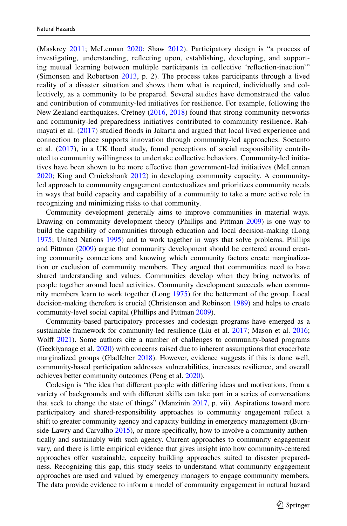(Maskrey [2011;](#page-18-13) McLennan [2020;](#page-18-14) Shaw [2012](#page-19-12)). Participatory design is "a process of investigating, understanding, refecting upon, establishing, developing, and supporting mutual learning between multiple participants in collective 'refection-inaction'" (Simonsen and Robertson [2013,](#page-19-13) p. 2). The process takes participants through a lived reality of a disaster situation and shows them what is required, individually and collectively, as a community to be prepared. Several studies have demonstrated the value and contribution of community-led initiatives for resilience. For example, following the New Zealand earthquakes, Cretney [\(2016,](#page-17-7) [2018](#page-17-8)) found that strong community networks and community-led preparedness initiatives contributed to community resilience. Rah-mayati et al. [\(2017\)](#page-19-14) studied floods in Jakarta and argued that local lived experience and connection to place supports innovation through community-led approaches. Soetanto et al. ([2017\)](#page-19-8), in a UK flood study, found perceptions of social responsibility contributed to community willingness to undertake collective behaviors. Community-led initiatives have been shown to be more efective than government-led initiatives (McLennan [2020](#page-18-14); King and Cruickshank [2012](#page-18-15)) in developing community capacity. A communityled approach to community engagement contextualizes and prioritizes community needs in ways that build capacity and capability of a community to take a more active role in recognizing and minimizing risks to that community.

Community development generally aims to improve communities in material ways. Drawing on community development theory (Phillips and Pittman [2009](#page-19-15)) is one way to build the capability of communities through education and local decision-making (Long [1975;](#page-18-16) United Nations [1995\)](#page-19-16) and to work together in ways that solve problems. Phillips and Pittman ([2009\)](#page-19-15) argue that community development should be centered around creating community connections and knowing which community factors create marginalization or exclusion of community members. They argued that communities need to have shared understanding and values. Communities develop when they bring networks of people together around local activities. Community development succeeds when community members learn to work together (Long [1975\)](#page-18-16) for the betterment of the group. Local decision-making therefore is crucial (Christenson and Robinson [1989](#page-17-10)) and helps to create community-level social capital (Phillips and Pittman [2009](#page-19-15)).

Community-based participatory processes and codesign programs have emerged as a sustainable framework for community-led resilience (Liu et al. [2017](#page-18-17); Mason et al. [2016;](#page-18-18) Wolff [2021](#page-20-1)). Some authors cite a number of challenges to community-based programs (Geekiyanage et al. [2020](#page-17-11)) with concerns raised due to inherent assumptions that exacerbate marginalized groups (Gladfelter [2018](#page-18-19)). However, evidence suggests if this is done well, community-based participation addresses vulnerabilities, increases resilience, and overall achieves better community outcomes (Peng et al. [2020\)](#page-19-17).

Codesign is "the idea that diferent people with difering ideas and motivations, from a variety of backgrounds and with diferent skills can take part in a series of conversations that seek to change the state of things" (Manzinin [2017,](#page-18-20) p. vii). Aspirations toward more participatory and shared-responsibility approaches to community engagement refect a shift to greater community agency and capacity building in emergency management (Burnside-Lawry and Carvalho [2015\)](#page-17-5), or more specifcally, how to involve a community authentically and sustainably with such agency. Current approaches to community engagement vary, and there is little empirical evidence that gives insight into how community-centered approaches offer sustainable, capacity building approaches suited to disaster preparedness. Recognizing this gap, this study seeks to understand what community engagement approaches are used and valued by emergency managers to engage community members. The data provide evidence to inform a model of community engagement in natural hazard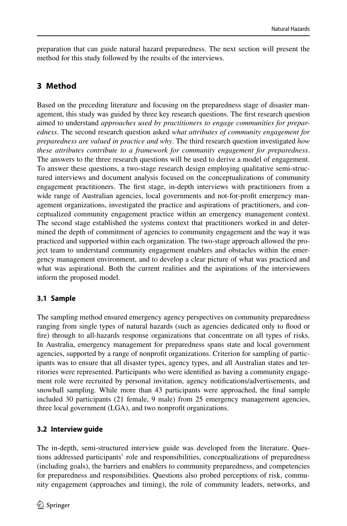preparation that can guide natural hazard preparedness. The next section will present the method for this study followed by the results of the interviews.

# **3 Method**

Based on the preceding literature and focusing on the preparedness stage of disaster management, this study was guided by three key research questions. The frst research question aimed to understand *approaches used by practitioners to engage communities for preparedness*. The second research question asked *what attributes of community engagement for preparedness are valued in practice and why*. The third research question investigated *how these attributes contribute to a framework for community engagement for preparedness*. The answers to the three research questions will be used to derive a model of engagement. To answer these questions, a two-stage research design employing qualitative semi-structured interviews and document analysis focused on the conceptualizations of community engagement practitioners. The frst stage, in-depth interviews with practitioners from a wide range of Australian agencies, local governments and not-for-proft emergency management organizations, investigated the practice and aspirations of practitioners, and conceptualized community engagement practice within an emergency management context. The second stage established the systems context that practitioners worked in and determined the depth of commitment of agencies to community engagement and the way it was practiced and supported within each organization. The two-stage approach allowed the project team to understand community engagement enablers and obstacles within the emergency management environment, and to develop a clear picture of what was practiced and what was aspirational. Both the current realities and the aspirations of the interviewees inform the proposed model.

# **3.1 Sample**

The sampling method ensured emergency agency perspectives on community preparedness ranging from single types of natural hazards (such as agencies dedicated only to food or fre) through to all-hazards response organizations that concentrate on all types of risks. In Australia, emergency management for preparedness spans state and local government agencies, supported by a range of nonproft organizations. Criterion for sampling of participants was to ensure that all disaster types, agency types, and all Australian states and territories were represented. Participants who were identifed as having a community engagement role were recruited by personal invitation, agency notifcations/advertisements, and snowball sampling. While more than 43 participants were approached, the fnal sample included 30 participants (21 female, 9 male) from 25 emergency management agencies, three local government (LGA), and two nonproft organizations.

# **3.2 Interview guide**

The in-depth, semi-structured interview guide was developed from the literature. Questions addressed participants' role and responsibilities, conceptualizations of preparedness (including goals), the barriers and enablers to community preparedness, and competencies for preparedness and responsibilities. Questions also probed perceptions of risk, community engagement (approaches and timing), the role of community leaders, networks, and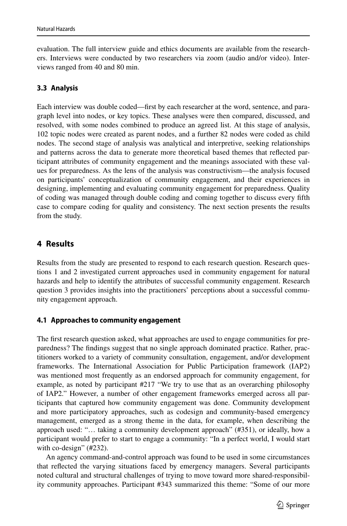evaluation. The full interview guide and ethics documents are available from the researchers. Interviews were conducted by two researchers via zoom (audio and/or video). Interviews ranged from 40 and 80 min.

# **3.3 Analysis**

Each interview was double coded—frst by each researcher at the word, sentence, and paragraph level into nodes, or key topics. These analyses were then compared, discussed, and resolved, with some nodes combined to produce an agreed list. At this stage of analysis, 102 topic nodes were created as parent nodes, and a further 82 nodes were coded as child nodes. The second stage of analysis was analytical and interpretive, seeking relationships and patterns across the data to generate more theoretical based themes that refected participant attributes of community engagement and the meanings associated with these values for preparedness. As the lens of the analysis was constructivism—the analysis focused on participants' conceptualization of community engagement, and their experiences in designing, implementing and evaluating community engagement for preparedness. Quality of coding was managed through double coding and coming together to discuss every ffth case to compare coding for quality and consistency. The next section presents the results from the study.

# **4 Results**

Results from the study are presented to respond to each research question. Research questions 1 and 2 investigated current approaches used in community engagement for natural hazards and help to identify the attributes of successful community engagement. Research question 3 provides insights into the practitioners' perceptions about a successful community engagement approach.

# **4.1 Approaches to community engagement**

The frst research question asked, what approaches are used to engage communities for preparedness? The fndings suggest that no single approach dominated practice. Rather, practitioners worked to a variety of community consultation, engagement, and/or development frameworks. The International Association for Public Participation framework (IAP2) was mentioned most frequently as an endorsed approach for community engagement, for example, as noted by participant #217 "We try to use that as an overarching philosophy of IAP2." However, a number of other engagement frameworks emerged across all participants that captured how community engagement was done. Community development and more participatory approaches, such as codesign and community-based emergency management, emerged as a strong theme in the data, for example, when describing the approach used: "… taking a community development approach" (#351), or ideally, how a participant would prefer to start to engage a community: "In a perfect world, I would start with co-design" (#232).

An agency command-and-control approach was found to be used in some circumstances that refected the varying situations faced by emergency managers. Several participants noted cultural and structural challenges of trying to move toward more shared-responsibility community approaches. Participant #343 summarized this theme: "Some of our more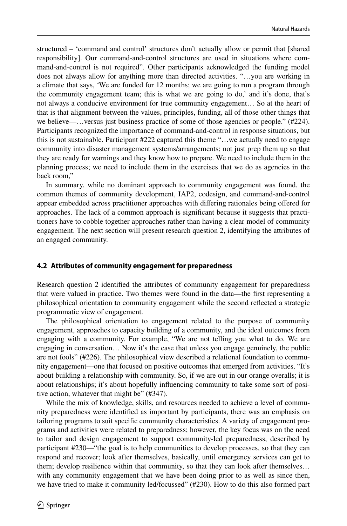structured – 'command and control' structures don't actually allow or permit that [shared responsibility]. Our command-and-control structures are used in situations where command-and-control is not required". Other participants acknowledged the funding model does not always allow for anything more than directed activities. "…you are working in a climate that says, 'We are funded for 12 months; we are going to run a program through the community engagement team; this is what we are going to do,' and it's done, that's not always a conducive environment for true community engagement… So at the heart of that is that alignment between the values, principles, funding, all of those other things that we believe—…versus just business practice of some of those agencies or people." (#224). Participants recognized the importance of command-and-control in response situations, but this is not sustainable. Participant #222 captured this theme "…we actually need to engage community into disaster management systems/arrangements; not just prep them up so that they are ready for warnings and they know how to prepare. We need to include them in the planning process; we need to include them in the exercises that we do as agencies in the back room,"

In summary, while no dominant approach to community engagement was found, the common themes of community development, IAP2, codesign, and command-and-control appear embedded across practitioner approaches with difering rationales being ofered for approaches. The lack of a common approach is signifcant because it suggests that practitioners have to cobble together approaches rather than having a clear model of community engagement. The next section will present research question 2, identifying the attributes of an engaged community.

#### **4.2 Attributes of community engagement for preparedness**

Research question 2 identifed the attributes of community engagement for preparedness that were valued in practice. Two themes were found in the data—the frst representing a philosophical orientation to community engagement while the second refected a strategic programmatic view of engagement.

The philosophical orientation to engagement related to the purpose of community engagement, approaches to capacity building of a community, and the ideal outcomes from engaging with a community. For example, "We are not telling you what to do. We are engaging in conversation… Now it's the case that unless you engage genuinely, the public are not fools" (#226). The philosophical view described a relational foundation to community engagement—one that focused on positive outcomes that emerged from activities. "It's about building a relationship with community. So, if we are out in our orange overalls; it is about relationships; it's about hopefully infuencing community to take some sort of positive action, whatever that might be" (#347).

While the mix of knowledge, skills, and resources needed to achieve a level of community preparedness were identifed as important by participants, there was an emphasis on tailoring programs to suit specifc community characteristics. A variety of engagement programs and activities were related to preparedness; however, the key focus was on the need to tailor and design engagement to support community-led preparedness, described by participant #230—"the goal is to help communities to develop processes, so that they can respond and recover; look after themselves, basically, until emergency services can get to them; develop resilience within that community, so that they can look after themselves… with any community engagement that we have been doing prior to as well as since then, we have tried to make it community led/focussed" (#230). How to do this also formed part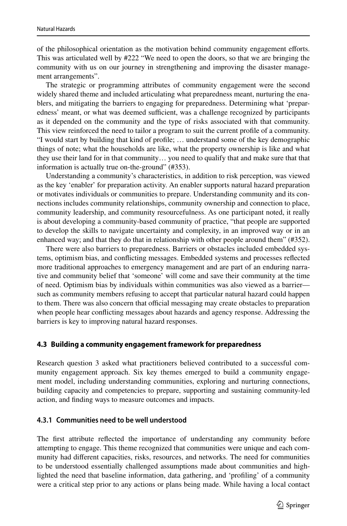of the philosophical orientation as the motivation behind community engagement eforts. This was articulated well by #222 "We need to open the doors, so that we are bringing the community with us on our journey in strengthening and improving the disaster management arrangements".

The strategic or programming attributes of community engagement were the second widely shared theme and included articulating what preparedness meant, nurturing the enablers, and mitigating the barriers to engaging for preparedness. Determining what 'preparedness' meant, or what was deemed sufficient, was a challenge recognized by participants as it depended on the community and the type of risks associated with that community. This view reinforced the need to tailor a program to suit the current profle of a community. "I would start by building that kind of profle; … understand some of the key demographic things of note; what the households are like, what the property ownership is like and what they use their land for in that community… you need to qualify that and make sure that that information is actually true on-the-ground" (#353).

Understanding a community's characteristics, in addition to risk perception, was viewed as the key 'enabler' for preparation activity. An enabler supports natural hazard preparation or motivates individuals or communities to prepare. Understanding community and its connections includes community relationships, community ownership and connection to place, community leadership, and community resourcefulness. As one participant noted, it really is about developing a community-based community of practice, "that people are supported to develop the skills to navigate uncertainty and complexity, in an improved way or in an enhanced way; and that they do that in relationship with other people around them" (#352).

There were also barriers to preparedness. Barriers or obstacles included embedded systems, optimism bias, and conficting messages. Embedded systems and processes refected more traditional approaches to emergency management and are part of an enduring narrative and community belief that 'someone' will come and save their community at the time of need. Optimism bias by individuals within communities was also viewed as a barrier such as community members refusing to accept that particular natural hazard could happen to them. There was also concern that official messaging may create obstacles to preparation when people hear conficting messages about hazards and agency response. Addressing the barriers is key to improving natural hazard responses.

#### **4.3 Building a community engagement framework for preparedness**

Research question 3 asked what practitioners believed contributed to a successful community engagement approach. Six key themes emerged to build a community engagement model, including understanding communities, exploring and nurturing connections, building capacity and competencies to prepare, supporting and sustaining community-led action, and fnding ways to measure outcomes and impacts.

#### **4.3.1 Communities need to be well understood**

The frst attribute refected the importance of understanding any community before attempting to engage. This theme recognized that communities were unique and each community had diferent capacities, risks, resources, and networks. The need for communities to be understood essentially challenged assumptions made about communities and highlighted the need that baseline information, data gathering, and 'profling' of a community were a critical step prior to any actions or plans being made. While having a local contact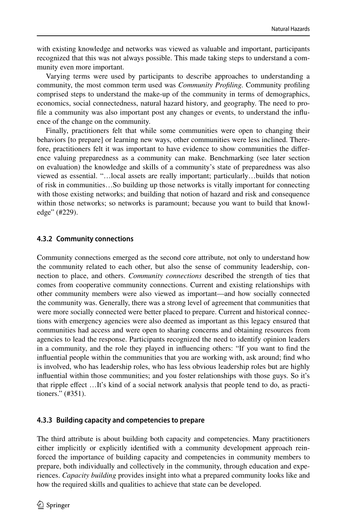with existing knowledge and networks was viewed as valuable and important, participants recognized that this was not always possible. This made taking steps to understand a community even more important.

Varying terms were used by participants to describe approaches to understanding a community, the most common term used was *Community Profling.* Community profling comprised steps to understand the make-up of the community in terms of demographics, economics, social connectedness, natural hazard history, and geography. The need to profle a community was also important post any changes or events, to understand the infuence of the change on the community.

Finally, practitioners felt that while some communities were open to changing their behaviors [to prepare] or learning new ways, other communities were less inclined. Therefore, practitioners felt it was important to have evidence to show communities the diference valuing preparedness as a community can make. Benchmarking (see later section on evaluation) the knowledge and skills of a community's state of preparedness was also viewed as essential. "…local assets are really important; particularly…builds that notion of risk in communities…So building up those networks is vitally important for connecting with those existing networks; and building that notion of hazard and risk and consequence within those networks; so networks is paramount; because you want to build that knowledge" (#229).

#### **4.3.2 Community connections**

Community connections emerged as the second core attribute, not only to understand how the community related to each other, but also the sense of community leadership, connection to place, and others. *Community connections* described the strength of ties that comes from cooperative community connections. Current and existing relationships with other community members were also viewed as important—and how socially connected the community was. Generally, there was a strong level of agreement that communities that were more socially connected were better placed to prepare. Current and historical connections with emergency agencies were also deemed as important as this legacy ensured that communities had access and were open to sharing concerns and obtaining resources from agencies to lead the response. Participants recognized the need to identify opinion leaders in a community, and the role they played in infuencing others: "If you want to fnd the infuential people within the communities that you are working with, ask around; fnd who is involved, who has leadership roles, who has less obvious leadership roles but are highly infuential within those communities; and you foster relationships with those guys. So it's that ripple efect …It's kind of a social network analysis that people tend to do, as practitioners." (#351).

#### **4.3.3 Building capacity and competencies to prepare**

The third attribute is about building both capacity and competencies. Many practitioners either implicitly or explicitly identifed with a community development approach reinforced the importance of building capacity and competencies in community members to prepare, both individually and collectively in the community, through education and experiences. *Capacity building* provides insight into what a prepared community looks like and how the required skills and qualities to achieve that state can be developed.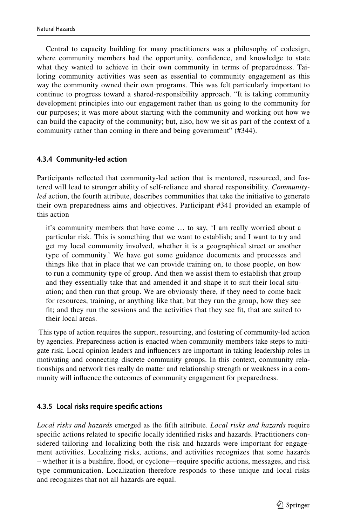Central to capacity building for many practitioners was a philosophy of codesign, where community members had the opportunity, confdence, and knowledge to state what they wanted to achieve in their own community in terms of preparedness. Tailoring community activities was seen as essential to community engagement as this way the community owned their own programs. This was felt particularly important to continue to progress toward a shared-responsibility approach. "It is taking community development principles into our engagement rather than us going to the community for our purposes; it was more about starting with the community and working out how we can build the capacity of the community; but, also, how we sit as part of the context of a community rather than coming in there and being government" (#344).

# **4.3.4 Community‑led action**

Participants refected that community-led action that is mentored, resourced, and fostered will lead to stronger ability of self-reliance and shared responsibility. *Communityled* action, the fourth attribute, describes communities that take the initiative to generate their own preparedness aims and objectives. Participant #341 provided an example of this action

it's community members that have come … to say, 'I am really worried about a particular risk. This is something that we want to establish; and I want to try and get my local community involved, whether it is a geographical street or another type of community.' We have got some guidance documents and processes and things like that in place that we can provide training on, to those people, on how to run a community type of group. And then we assist them to establish that group and they essentially take that and amended it and shape it to suit their local situation; and then run that group. We are obviously there, if they need to come back for resources, training, or anything like that; but they run the group, how they see ft; and they run the sessions and the activities that they see ft, that are suited to their local areas.

 This type of action requires the support, resourcing, and fostering of community-led action by agencies. Preparedness action is enacted when community members take steps to mitigate risk. Local opinion leaders and infuencers are important in taking leadership roles in motivating and connecting discrete community groups. In this context, community relationships and network ties really do matter and relationship strength or weakness in a community will infuence the outcomes of community engagement for preparedness.

# **4.3.5 Local risks require specifc actions**

*Local risks and hazards* emerged as the ffth attribute. *Local risks and hazards* require specifc actions related to specifc locally identifed risks and hazards. Practitioners considered tailoring and localizing both the risk and hazards were important for engagement activities. Localizing risks, actions, and activities recognizes that some hazards – whether it is a bushfre, food, or cyclone—require specifc actions, messages, and risk type communication. Localization therefore responds to these unique and local risks and recognizes that not all hazards are equal.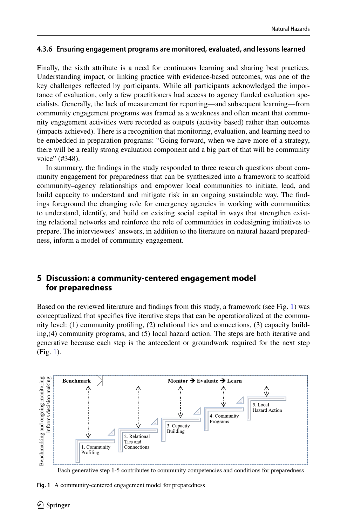#### **4.3.6 Ensuring engagement programs are monitored, evaluated, and lessons learned**

Finally, the sixth attribute is a need for continuous learning and sharing best practices. Understanding impact, or linking practice with evidence-based outcomes, was one of the key challenges refected by participants. While all participants acknowledged the importance of evaluation, only a few practitioners had access to agency funded evaluation specialists. Generally, the lack of measurement for reporting—and subsequent learning—from community engagement programs was framed as a weakness and often meant that community engagement activities were recorded as outputs (activity based) rather than outcomes (impacts achieved). There is a recognition that monitoring, evaluation, and learning need to be embedded in preparation programs: "Going forward, when we have more of a strategy, there will be a really strong evaluation component and a big part of that will be community voice" (#348).

In summary, the fndings in the study responded to three research questions about community engagement for preparedness that can be synthesized into a framework to scafold community–agency relationships and empower local communities to initiate, lead, and build capacity to understand and mitigate risk in an ongoing sustainable way. The fndings foreground the changing role for emergency agencies in working with communities to understand, identify, and build on existing social capital in ways that strengthen existing relational networks and reinforce the role of communities in codesigning initiatives to prepare. The interviewees' answers, in addition to the literature on natural hazard preparedness, inform a model of community engagement.

# **5 Discussion: a community‑centered engagement model for preparedness**

Based on the reviewed literature and fndings from this study, a framework (see Fig. [1\)](#page-11-0) was conceptualized that specifes fve iterative steps that can be operationalized at the community level: (1) community profling, (2) relational ties and connections, (3) capacity building,(4) community programs, and (5) local hazard action. The steps are both iterative and generative because each step is the antecedent or groundwork required for the next step (Fig. [1](#page-11-0)).



Each generative step 1-5 contributes to community competencies and conditions for preparedness

<span id="page-11-0"></span>**Fig. 1** A community-centered engagement model for preparedness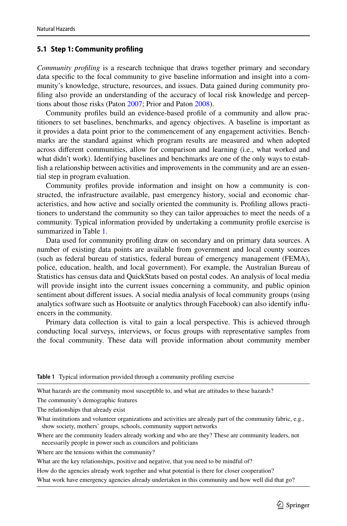#### **5.1 Step 1: Community profling**

*Community profling* is a research technique that draws together primary and secondary data specifc to the focal community to give baseline information and insight into a community's knowledge, structure, resources, and issues. Data gained during community profling also provide an understanding of the accuracy of local risk knowledge and perceptions about those risks (Paton [2007](#page-19-18); Prior and Paton [2008\)](#page-19-19).

Community profles build an evidence-based profle of a community and allow practitioners to set baselines, benchmarks, and agency objectives. A baseline is important as it provides a data point prior to the commencement of any engagement activities. Benchmarks are the standard against which program results are measured and when adopted across diferent communities, allow for comparison and learning (i.e., what worked and what didn't work). Identifying baselines and benchmarks are one of the only ways to establish a relationship between activities and improvements in the community and are an essential step in program evaluation.

Community profles provide information and insight on how a community is constructed, the infrastructure available, past emergency history, social and economic characteristics, and how active and socially oriented the community is. Profling allows practitioners to understand the community so they can tailor approaches to meet the needs of a community. Typical information provided by undertaking a community profle exercise is summarized in Table [1.](#page-12-0)

Data used for community profling draw on secondary and on primary data sources. A number of existing data points are available from government and local county sources (such as federal bureau of statistics, federal bureau of emergency management (FEMA), police, education, health, and local government). For example, the Australian Bureau of Statistics has census data and QuickStats based on postal codes. An analysis of local media will provide insight into the current issues concerning a community, and public opinion sentiment about diferent issues. A social media analysis of local community groups (using analytics software such as Hootsuite or analytics through Facebook) can also identify infuencers in the community.

Primary data collection is vital to gain a local perspective. This is achieved through conducting local surveys, interviews, or focus groups with representative samples from the focal community. These data will provide information about community member

<span id="page-12-0"></span>**Table 1** Typical information provided through a community profling exercise

What hazards are the community most susceptible to, and what are attitudes to these hazards?

The community's demographic features

The relationships that already exist

What institutions and volunteer organizations and activities are already part of the community fabric, e.g., show society, mothers' groups, schools, community support networks

Where are the community leaders already working and who are they? These are community leaders, not necessarily people in power such as councilors and politicians

Where are the tensions within the community?

What are the key relationships, positive and negative, that you need to be mindful of?

How do the agencies already work together and what potential is there for closer cooperation?

What work have emergency agencies already undertaken in this community and how well did that go?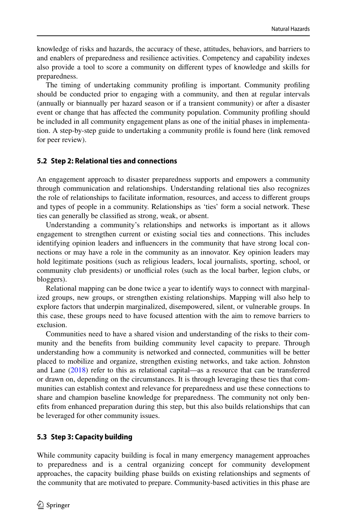knowledge of risks and hazards, the accuracy of these, attitudes, behaviors, and barriers to and enablers of preparedness and resilience activities. Competency and capability indexes also provide a tool to score a community on diferent types of knowledge and skills for preparedness.

The timing of undertaking community profling is important. Community profling should be conducted prior to engaging with a community, and then at regular intervals (annually or biannually per hazard season or if a transient community) or after a disaster event or change that has afected the community population. Community profling should be included in all community engagement plans as one of the initial phases in implementation. A step-by-step guide to undertaking a community profle is found here (link removed for peer review).

#### **5.2 Step 2: Relational ties and connections**

An engagement approach to disaster preparedness supports and empowers a community through communication and relationships. Understanding relational ties also recognizes the role of relationships to facilitate information, resources, and access to diferent groups and types of people in a community. Relationships as 'ties' form a social network. These ties can generally be classifed as strong, weak, or absent.

Understanding a community's relationships and networks is important as it allows engagement to strengthen current or existing social ties and connections. This includes identifying opinion leaders and infuencers in the community that have strong local connections or may have a role in the community as an innovator. Key opinion leaders may hold legitimate positions (such as religious leaders, local journalists, sporting, school, or community club presidents) or unofficial roles (such as the local barber, legion clubs, or bloggers).

Relational mapping can be done twice a year to identify ways to connect with marginalized groups, new groups, or strengthen existing relationships. Mapping will also help to explore factors that underpin marginalized, disempowered, silent, or vulnerable groups. In this case, these groups need to have focused attention with the aim to remove barriers to exclusion.

Communities need to have a shared vision and understanding of the risks to their community and the benefts from building community level capacity to prepare. Through understanding how a community is networked and connected, communities will be better placed to mobilize and organize, strengthen existing networks, and take action. Johnston and Lane ([2018\)](#page-18-21) refer to this as relational capital—as a resource that can be transferred or drawn on, depending on the circumstances. It is through leveraging these ties that communities can establish context and relevance for preparedness and use these connections to share and champion baseline knowledge for preparedness. The community not only benefts from enhanced preparation during this step, but this also builds relationships that can be leveraged for other community issues.

#### **5.3 Step 3: Capacity building**

While community capacity building is focal in many emergency management approaches to preparedness and is a central organizing concept for community development approaches, the capacity building phase builds on existing relationships and segments of the community that are motivated to prepare. Community-based activities in this phase are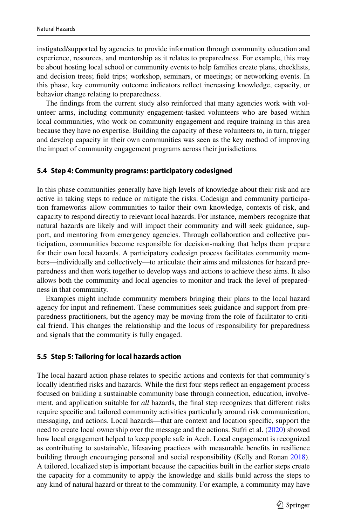instigated/supported by agencies to provide information through community education and experience, resources, and mentorship as it relates to preparedness. For example, this may be about hosting local school or community events to help families create plans, checklists, and decision trees; feld trips; workshop, seminars, or meetings; or networking events. In this phase, key community outcome indicators refect increasing knowledge, capacity, or behavior change relating to preparedness.

The fndings from the current study also reinforced that many agencies work with volunteer arms, including community engagement-tasked volunteers who are based within local communities, who work on community engagement and require training in this area because they have no expertise. Building the capacity of these volunteers to, in turn, trigger and develop capacity in their own communities was seen as the key method of improving the impact of community engagement programs across their jurisdictions.

#### **5.4 Step 4: Community programs: participatory codesigned**

In this phase communities generally have high levels of knowledge about their risk and are active in taking steps to reduce or mitigate the risks. Codesign and community participation frameworks allow communities to tailor their own knowledge, contexts of risk, and capacity to respond directly to relevant local hazards. For instance, members recognize that natural hazards are likely and will impact their community and will seek guidance, support, and mentoring from emergency agencies. Through collaboration and collective participation, communities become responsible for decision-making that helps them prepare for their own local hazards. A participatory codesign process facilitates community members—individually and collectively—to articulate their aims and milestones for hazard preparedness and then work together to develop ways and actions to achieve these aims. It also allows both the community and local agencies to monitor and track the level of preparedness in that community.

Examples might include community members bringing their plans to the local hazard agency for input and refnement. These communities seek guidance and support from preparedness practitioners, but the agency may be moving from the role of facilitator to critical friend. This changes the relationship and the locus of responsibility for preparedness and signals that the community is fully engaged.

#### **5.5 Step 5: Tailoring for local hazards action**

The local hazard action phase relates to specifc actions and contexts for that community's locally identified risks and hazards. While the first four steps reflect an engagement process focused on building a sustainable community base through connection, education, involvement, and application suitable for *all* hazards, the fnal step recognizes that diferent risks require specifc and tailored community activities particularly around risk communication, messaging, and actions. Local hazards—that are context and location specifc, support the need to create local ownership over the message and the actions. Sufri et al. [\(2020](#page-19-20)) showed how local engagement helped to keep people safe in Aceh. Local engagement is recognized as contributing to sustainable, lifesaving practices with measurable benefts in resilience building through encouraging personal and social responsibility (Kelly and Ronan [2018](#page-18-22)). A tailored, localized step is important because the capacities built in the earlier steps create the capacity for a community to apply the knowledge and skills build across the steps to any kind of natural hazard or threat to the community. For example, a community may have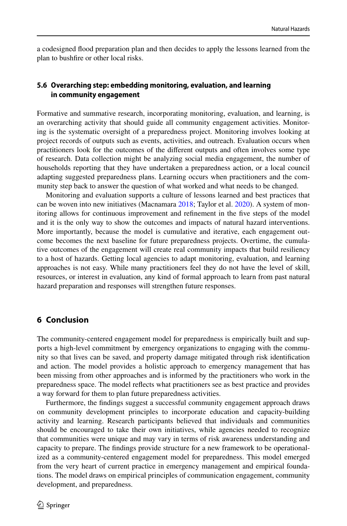a codesigned food preparation plan and then decides to apply the lessons learned from the plan to bushfre or other local risks.

# **5.6 Overarching step: embedding monitoring, evaluation, and learning in community engagement**

Formative and summative research, incorporating monitoring, evaluation, and learning, is an overarching activity that should guide all community engagement activities. Monitoring is the systematic oversight of a preparedness project. Monitoring involves looking at project records of outputs such as events, activities, and outreach. Evaluation occurs when practitioners look for the outcomes of the diferent outputs and often involves some type of research. Data collection might be analyzing social media engagement, the number of households reporting that they have undertaken a preparedness action, or a local council adapting suggested preparedness plans. Learning occurs when practitioners and the community step back to answer the question of what worked and what needs to be changed.

Monitoring and evaluation supports a culture of lessons learned and best practices that can be woven into new initiatives (Macnamara [2018;](#page-18-23) Taylor et al. [2020\)](#page-19-21). A system of monitoring allows for continuous improvement and refnement in the fve steps of the model and it is the only way to show the outcomes and impacts of natural hazard interventions. More importantly, because the model is cumulative and iterative, each engagement outcome becomes the next baseline for future preparedness projects. Overtime, the cumulative outcomes of the engagement will create real community impacts that build resiliency to a host of hazards. Getting local agencies to adapt monitoring, evaluation, and learning approaches is not easy. While many practitioners feel they do not have the level of skill, resources, or interest in evaluation, any kind of formal approach to learn from past natural hazard preparation and responses will strengthen future responses.

# **6 Conclusion**

The community-centered engagement model for preparedness is empirically built and supports a high-level commitment by emergency organizations to engaging with the community so that lives can be saved, and property damage mitigated through risk identifcation and action. The model provides a holistic approach to emergency management that has been missing from other approaches and is informed by the practitioners who work in the preparedness space. The model refects what practitioners see as best practice and provides a way forward for them to plan future preparedness activities.

Furthermore, the fndings suggest a successful community engagement approach draws on community development principles to incorporate education and capacity-building activity and learning. Research participants believed that individuals and communities should be encouraged to take their own initiatives, while agencies needed to recognize that communities were unique and may vary in terms of risk awareness understanding and capacity to prepare. The fndings provide structure for a new framework to be operationalized as a community-centered engagement model for preparedness. This model emerged from the very heart of current practice in emergency management and empirical foundations. The model draws on empirical principles of communication engagement, community development, and preparedness.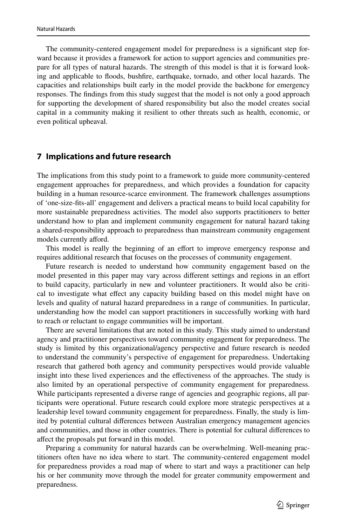The community-centered engagement model for preparedness is a signifcant step forward because it provides a framework for action to support agencies and communities prepare for all types of natural hazards. The strength of this model is that it is forward looking and applicable to foods, bushfre, earthquake, tornado, and other local hazards. The capacities and relationships built early in the model provide the backbone for emergency responses. The fndings from this study suggest that the model is not only a good approach for supporting the development of shared responsibility but also the model creates social capital in a community making it resilient to other threats such as health, economic, or even political upheaval.

### **7 Implications and future research**

The implications from this study point to a framework to guide more community-centered engagement approaches for preparedness, and which provides a foundation for capacity building in a human resource-scarce environment. The framework challenges assumptions of 'one-size-fts-all' engagement and delivers a practical means to build local capability for more sustainable preparedness activities. The model also supports practitioners to better understand how to plan and implement community engagement for natural hazard taking a shared-responsibility approach to preparedness than mainstream community engagement models currently afford.

This model is really the beginning of an effort to improve emergency response and requires additional research that focuses on the processes of community engagement.

Future research is needed to understand how community engagement based on the model presented in this paper may vary across diferent settings and regions in an efort to build capacity, particularly in new and volunteer practitioners. It would also be critical to investigate what efect any capacity building based on this model might have on levels and quality of natural hazard preparedness in a range of communities. In particular, understanding how the model can support practitioners in successfully working with hard to reach or reluctant to engage communities will be important.

There are several limitations that are noted in this study. This study aimed to understand agency and practitioner perspectives toward community engagement for preparedness. The study is limited by this organizational/agency perspective and future research is needed to understand the community's perspective of engagement for preparedness. Undertaking research that gathered both agency and community perspectives would provide valuable insight into these lived experiences and the efectiveness of the approaches. The study is also limited by an operational perspective of community engagement for preparedness. While participants represented a diverse range of agencies and geographic regions, all participants were operational. Future research could explore more strategic perspectives at a leadership level toward community engagement for preparedness. Finally, the study is limited by potential cultural diferences between Australian emergency management agencies and communities, and those in other countries. There is potential for cultural diferences to afect the proposals put forward in this model.

Preparing a community for natural hazards can be overwhelming. Well-meaning practitioners often have no idea where to start. The community-centered engagement model for preparedness provides a road map of where to start and ways a practitioner can help his or her community move through the model for greater community empowerment and preparedness.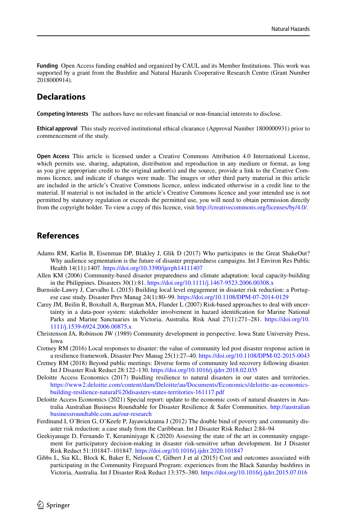**Funding** Open Access funding enabled and organized by CAUL and its Member Institutions. This work was supported by a grant from the Bushfre and Natural Hazards Cooperative Research Centre (Grant Number 2018000914).

# **Declarations**

**Competing Interests** The authors have no relevant fnancial or non-fnancial interests to disclose.

**Ethical approval** This study received institutional ethical clearance (Approval Number 1800000931) prior to commencement of the study.

**Open Access** This article is licensed under a Creative Commons Attribution 4.0 International License, which permits use, sharing, adaptation, distribution and reproduction in any medium or format, as long as you give appropriate credit to the original author(s) and the source, provide a link to the Creative Commons licence, and indicate if changes were made. The images or other third party material in this article are included in the article's Creative Commons licence, unless indicated otherwise in a credit line to the material. If material is not included in the article's Creative Commons licence and your intended use is not permitted by statutory regulation or exceeds the permitted use, you will need to obtain permission directly from the copyright holder. To view a copy of this licence, visit [http://creativecommons.org/licenses/by/4.0/.](http://creativecommons.org/licenses/by/4.0/)

# **References**

- <span id="page-17-9"></span>Adams RM, Karlin B, Eisenman DP, Blakley J, Glik D (2017) Who participates in the Great ShakeOut? Why audience segmentation is the future of disaster preparedness campaigns. Int J Environ Res Public Health 14(11):1407. <https://doi.org/10.3390/ijerph14111407>
- <span id="page-17-3"></span>Allen KM (2006) Community-based disaster preparedness and climate adaptation: local capacity-building in the Philippines. Disasters 30(1):81. <https://doi.org/10.1111/j.1467-9523.2006.00308.x>
- <span id="page-17-5"></span>Burnside-Lawry J, Carvalho L (2015) Building local level engagement in disaster risk reduction: a Portugese case study. Disaster Prev Manag 24(1):80–99. <https://doi.org/10.1108/DPM-07-2014-0129>
- <span id="page-17-4"></span>Carey JM, Beilin R, Boxshall A, Burgman MA, Flander L (2007) Risk-based approaches to deal with uncertainty in a data-poor system: stakeholder involvement in hazard identifcation for Marine National Parks and Marine Sanctuaries in Victoria, Australia. Risk Anal 27(1):271–281. [https://doi.org/10.](https://doi.org/10.1111/j.1539-6924.2006.00875.x) [1111/j.1539-6924.2006.00875.x](https://doi.org/10.1111/j.1539-6924.2006.00875.x)
- <span id="page-17-10"></span>Christenson JA, Robinson JW (1989) Community development in perspective. Iowa State University Press, Iowa
- <span id="page-17-7"></span>Cretney RM (2016) Local responses to disaster: the value of community led post disaster response action in a resilience framework. Disaster Prev Manag 25(1):27–40. <https://doi.org/10.1108/DPM-02-2015-0043>
- <span id="page-17-8"></span>Cretney RM (2018) Beyond public meetings: Diverse forms of community led recovery following disaster. Int J Disaster Risk Reduct 28:122–130.<https://doi.org/10.1016/j.ijdrr.2018.02.035>
- <span id="page-17-2"></span>Deloitte Access Economics (2017) Buidling resilience to natural disasters in our states and territories. [https://www2.deloitte.com/content/dam/Deloitte/au/Documents/Economics/deloitte-au-economics](https://www2.deloitte.com/content/dam/Deloitte/au/Documents/Economics/deloitte-au-economics-building-resilience-natural%20disasters-states-territories-161117.pdf)[building-resilience-natural%20disasters-states-territories-161117.pdf](https://www2.deloitte.com/content/dam/Deloitte/au/Documents/Economics/deloitte-au-economics-building-resilience-natural%20disasters-states-territories-161117.pdf)
- <span id="page-17-1"></span>Deloitte Access Economics (2021) Special report: update to the economic costs of natural disasters in Australia Australian Business Roundtable for Disaster Resilience & Safer Communities. [http://australian](http://australianbusinessroundtable.com.au/our-research) [businessroundtable.com.au/our-research](http://australianbusinessroundtable.com.au/our-research)
- <span id="page-17-6"></span>Ferdinand I, O'Brien G, O'Keefe P, Jayawickrama J (2012) The double bind of poverty and community disaster risk reduction: a case study from the Caribbean. Int J Disaster Risk Reduct 2:84–94
- <span id="page-17-11"></span>Geekiyanage D, Fernando T, Keraminiyage K (2020) Assessing the state of the art in community engagement for participatory decision-making in disaster risk-sensitive urban development. Int J Disaster Risk Reduct 51:101847–101847.<https://doi.org/10.1016/j.ijdrr.2020.101847>
- <span id="page-17-0"></span>Gibbs L, Sia KL, Block K, Baker E, Nelsson C, Gilbert J et al (2015) Cost and outcomes associated with participating in the Community Fireguard Program: experiences from the Black Saturday bushfres in Victoria, Australia. Int J Disaster Risk Reduct 13:375–380. <https://doi.org/10.1016/j.ijdrr.2015.07.016>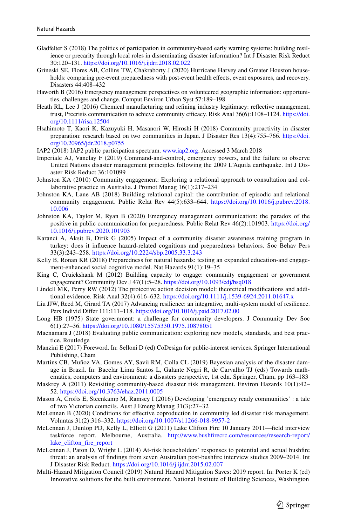- <span id="page-18-19"></span>Gladfelter S (2018) The politics of participation in community-based early warning systems: building resilience or precarity through local roles in disseminating disaster information? Int J Disaster Risk Reduct 30:120–131.<https://doi.org/10.1016/j.ijdrr.2018.02.022>
- <span id="page-18-5"></span>Grineski SE, Flores AB, Collins TW, Chakraborty J (2020) Hurricane Harvey and Greater Houston households: comparing pre-event preparedness with post-event health effects, event exposures, and recovery. Disasters 44:408–432
- <span id="page-18-11"></span>Haworth B (2016) Emergency management perspectives on volunteered geographic information: opportunities, challenges and change. Comput Environ Urban Syst 57:189–198
- <span id="page-18-4"></span>Heath RL, Lee J (2016) Chemical manufacturing and refning industry legitimacy: refective management, trust, Precrisis communication to achieve community efficacy. Risk Anal 36(6):1108–1124. [https://doi.](https://doi.org/10.1111/risa.12504) [org/10.1111/risa.12504](https://doi.org/10.1111/risa.12504)
- <span id="page-18-12"></span>Hsahimoto T, Kaori K, Kazuyuki H, Masanori W, Hiroshi H (2018) Community proactivity in disaster preparation: research based on two communities in Japan. J Disaster Res 13(4):755–766. [https://doi.](https://doi.org/10.20965/jdr.2018.p0755) [org/10.20965/jdr.2018.p0755](https://doi.org/10.20965/jdr.2018.p0755)
- IAP2 (2018) IAP2 public participation spectrum. [www.iap2.org](http://www.iap2.org). Accessed 3 March 2018
- <span id="page-18-9"></span>Imperiale AJ, Vanclay F (2019) Command-and-control, emergency powers, and the failure to observe United Nations disaster management principles following the 2009 L'Aquila earthquake. Int J Disaster Risk Reduct 36:101099
- <span id="page-18-8"></span>Johnston KA (2010) Community engagement: Exploring a relational approach to consultation and collaborative practice in Australia. J Promot Manag 16(1):217–234
- <span id="page-18-21"></span>Johnston KA, Lane AB (2018) Building relational capital: the contribution of episodic and relational community engagement. Public Relat Rev 44(5):633–644. [https://doi.org/10.1016/j.pubrev.2018.](https://doi.org/10.1016/j.pubrev.2018.10.006) [10.006](https://doi.org/10.1016/j.pubrev.2018.10.006)
- <span id="page-18-10"></span>Johnston KA, Taylor M, Ryan B (2020) Emergency management communication: the paradox of the positive in public communication for preparedness. Public Relat Rev 46(2):101903. [https://doi.org/](https://doi.org/10.1016/j.pubrev.2020.101903) [10.1016/j.pubrev.2020.101903](https://doi.org/10.1016/j.pubrev.2020.101903)
- <span id="page-18-3"></span>Karanci A, Aksit B, Dirik G (2005) Impact of a community disaster awareness training program in turkey: does it infuence hazard-related cognitions and preparedness behaviors. Soc Behav Pers 33(3):243–258. <https://doi.org/10.2224/sbp.2005.33.3.243>
- <span id="page-18-22"></span>Kelly B, Ronan KR (2018) Preparedness for natural hazards: testing an expanded education-and engagement-enhanced social cognitive model. Nat Hazards 91(1):19–35
- <span id="page-18-15"></span>King C, Cruickshank M (2012) Building capacity to engage: community engagement or government engagement? Community Dev J 47(1):5–28. <https://doi.org/10.1093/cdj/bsq018>
- <span id="page-18-7"></span>Lindell MK, Perry RW (2012) The protective action decision model: theoretical modifcations and additional evidence. Risk Anal 32(4):616–632. <https://doi.org/10.1111/j.1539-6924.2011.01647.x>
- <span id="page-18-17"></span>Liu JJW, Reed M, Girard TA (2017) Advancing resilience: an integrative, multi-system model of resilience. Pers Individ Difer 111:111–118. <https://doi.org/10.1016/j.paid.2017.02.00>
- <span id="page-18-16"></span>Long HB (1975) State government: a challenge for community developers. J Community Dev Soc 6(1):27–36. <https://doi.org/10.1080/15575330.1975.10878051>
- <span id="page-18-23"></span>Macnamara J (2018) Evaluating public communication: exploring new models, standards, and best practice. Routledge
- <span id="page-18-20"></span>Manzini E (2017) Foreword. In: Selloni D (ed) CoDesign for public-interest services. Springer International Publishing, Cham
- <span id="page-18-0"></span>Martins CB, Muñoz VA, Gomes AY, Savii RM, Colla CL (2019) Bayesian analysis of the disaster damage in Brazil. In: Bacelar Lima Santos L, Galante Negri R, de Carvalho TJ (eds) Towards mathematics, computers and environment: a disasters perspective, 1st edn. Springer, Cham, pp 163–183
- <span id="page-18-13"></span>Maskrey A (2011) Revisiting community-based disaster risk management. Environ Hazards 10(1):42-52.<https://doi.org/10.3763/ehaz.2011.0005>
- <span id="page-18-18"></span>Mason A, Crofts E, Steenkamp M, Ramsey I (2016) Developing 'emergency ready communities' : a tale of two Victorian councils. Aust J Emerg Manag 31(3):27–32
- <span id="page-18-14"></span>McLennan B (2020) Conditions for efective coproduction in community led disaster risk management. Voluntas 31(2):316–332.<https://doi.org/10.1007/s11266-018-9957-2>
- <span id="page-18-1"></span>McLennan J, Dunlop PD, Kelly L, Elliott G (2011) Lake Clifton Fire 10 January 2011—feld interview taskforce report. Melbourne, Australia. [http://www.bushfirecrc.com/resources/research-report/](http://www.bushfirecrc.com/resources/research-report/lake_clifton_fire_report) [lake\\_clifton\\_fre\\_report](http://www.bushfirecrc.com/resources/research-report/lake_clifton_fire_report)
- <span id="page-18-2"></span>McLennan J, Paton D, Wright L (2014) At-risk householders' responses to potential and actual bushfre threat: an analysis of fndings from seven Australian post-bushfre interview studies 2009–2014. Int J Disaster Risk Reduct. <https://doi.org/10.1016/j.ijdrr.2015.02.007>
- <span id="page-18-6"></span>Multi-Hazard Mitigation Council (2019) Natural Hazard Mitigation Saves: 2019 report. In: Porter K (ed) Innovative solutions for the built environment. National Institute of Building Sciences, Washington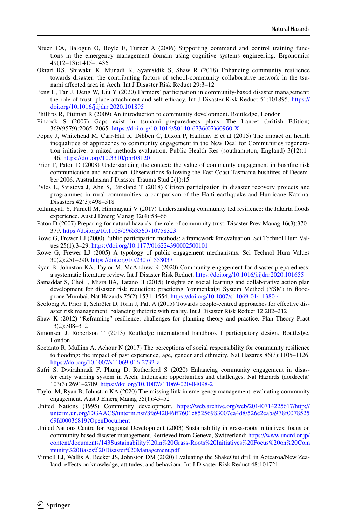- <span id="page-19-3"></span>Ntuen CA, Balogun O, Boyle E, Turner A (2006) Supporting command and control training functions in the emergency management domain using cognitive systems engineering. Ergonomics 49(12–13):1415–1436
- <span id="page-19-7"></span>Oktari RS, Shiwaku K, Munadi K, Syamsidik S, Shaw R (2018) Enhancing community resilience towards disaster: the contributing factors of school-community collaborative network in the tsunami afected area in Aceh. Int J Disaster Risk Reduct 29:3–12
- <span id="page-19-17"></span>Peng L, Tan J, Deng W, Liu Y (2020) Farmers' participation in community-based disaster management: the role of trust, place attachment and self-efficacy. Int J Disaster Risk Reduct 51:101895. [https://](https://doi.org/10.1016/j.ijdrr.2020.101895) [doi.org/10.1016/j.ijdrr.2020.101895](https://doi.org/10.1016/j.ijdrr.2020.101895)
- <span id="page-19-15"></span>Phillips R, Pittman R (2009) An introduction to community development. Routledge, London
- <span id="page-19-0"></span>Pincock S (2007) Gaps exist in tsunami preparedness plans. The Lancet (british Edition) 369(9579):2065–2065. [https://doi.org/10.1016/S0140-6736\(07\)60960-X](https://doi.org/10.1016/S0140-6736(07)60960-X)
- <span id="page-19-5"></span>Popay J, Whitehead M, Carr-Hill R, Dibben C, Dixon P, Halliday E et al (2015) The impact on health inequalities of approaches to community engagement in the New Deal for Communities regeneration initiative: a mixed-methods evaluation. Public Health Res (southampton, England) 3(12):1– 146.<https://doi.org/10.3310/phr03120>
- <span id="page-19-19"></span>Prior T, Paton D (2008) Understanding the context: the value of community engagement in bushfre risk communication and education. Observations following the East Coast Tasmania bushfres of December 2006. Australiasian J Disaster Trauma Stud 2(1):15
- <span id="page-19-6"></span>Pyles L, Svistova J, Ahn S, Birkland T (2018) Citizen participation in disaster recovery projects and programmes in rural communities: a comparison of the Haiti earthquake and Hurricane Katrina. Disasters 42(3):498–518
- <span id="page-19-14"></span>Rahmayati Y, Parnell M, Himmayani V (2017) Understanding community led resilience: the Jakarta foods experience. Aust J Emerg Manag 32(4):58–66
- <span id="page-19-18"></span>Paton D (2007) Preparing for natural hazards: the role of community trust. Disaster Prev Manag 16(3):370– 379. <https://doi.org/10.1108/09653560710758323>
- <span id="page-19-11"></span>Rowe G, Frewer LJ (2000) Public participation methods: a framework for evaluation. Sci Technol Hum Values 25(1):3–29. <https://doi.org/10.1177/016224390002500101>
- <span id="page-19-1"></span>Rowe G, Frewer LJ (2005) A typology of public engagement mechanisms. Sci Technol Hum Values 30(2):251–290.<https://doi.org/10.2307/1558037>
- <span id="page-19-2"></span>Ryan B, Johnston KA, Taylor M, McAndrew R (2020) Community engagement for disaster preparedness: a systematic literature review. Int J Disaster Risk Reduct. <https://doi.org/10.1016/j.ijdrr.2020.101655>
- <span id="page-19-10"></span>Samaddar S, Choi J, Misra BA, Tatano H (2015) Insights on social learning and collaborative action plan development for disaster risk reduction: practicing Yonmenkaigi System Method (YSM) in foodprone Mumbai. Nat Hazards 75(2):1531–1554.<https://doi.org/10.1007/s11069-014-1380-4>
- <span id="page-19-4"></span>Scolobig A, Prior T, Schröter D, Jörin J, Patt A (2015) Towards people-centred approaches for efective disaster risk management: balancing rhetoric with reality. Int J Disaster Risk Reduct 12:202–212
- <span id="page-19-12"></span>Shaw K (2012) "Reframing" resilience: challenges for planning theory and practice. Plan Theory Pract 13(2):308–312
- <span id="page-19-13"></span>Simonsen J, Robertson T (2013) Routledge international handbook f participatory design. Routledge, London
- <span id="page-19-8"></span>Soetanto R, Mullins A, Achour N (2017) The perceptions of social responsibility for community resilience to fooding: the impact of past experience, age, gender and ethnicity. Nat Hazards 86(3):1105–1126. <https://doi.org/10.1007/s11069-016-2732-z>
- <span id="page-19-20"></span>Sufri S, Dwirahmadi F, Phung D, Rutherford S (2020) Enhancing community engagement in disaster early warning system in Aceh, Indonesia: opportunities and challenges. Nat Hazards (dordrecht) 103(3):2691–2709.<https://doi.org/10.1007/s11069-020-04098-2>
- <span id="page-19-21"></span>Taylor M, Ryan B, Johnston KA (2020) The missing link in emergency management: evaluating community engagement. Aust J Emerg Manag 35(1):45–52
- <span id="page-19-16"></span>United Nations (1995) Community development. [https://web.archive.org/web/20140714225617/http://](https://web.archive.org/web/20140714225617/http://unterm.un.org/DGAACS/unterm.nsf/8fa942046ff7601c85256983007ca4d8/526c2eaba978f007852569fd00036819?OpenDocument) [unterm.un.org/DGAACS/unterm.nsf/8fa942046ff7601c85256983007ca4d8/526c2eaba978f0078525](https://web.archive.org/web/20140714225617/http://unterm.un.org/DGAACS/unterm.nsf/8fa942046ff7601c85256983007ca4d8/526c2eaba978f007852569fd00036819?OpenDocument) [69fd00036819?OpenDocument](https://web.archive.org/web/20140714225617/http://unterm.un.org/DGAACS/unterm.nsf/8fa942046ff7601c85256983007ca4d8/526c2eaba978f007852569fd00036819?OpenDocument)
- United Nations Centre for Regional Development (2003) Sustainability in grass-roots initiatives: focus on community based disaster management. Retrieved from Geneva, Switzerland: [https://www.uncrd.or.jp/](https://www.uncrd.or.jp/content/documents/143Sustainability%20in%20Grass-Roots%20Initiatives%20Focus%20on%20Community%20Bases%20Disaster%20Management.pdf) [content/documents/143Sustainability%20in%20Grass-Roots%20Initiatives%20Focus%20on%20Com](https://www.uncrd.or.jp/content/documents/143Sustainability%20in%20Grass-Roots%20Initiatives%20Focus%20on%20Community%20Bases%20Disaster%20Management.pdf) [munity%20Bases%20Disaster%20Management.pdf](https://www.uncrd.or.jp/content/documents/143Sustainability%20in%20Grass-Roots%20Initiatives%20Focus%20on%20Community%20Bases%20Disaster%20Management.pdf)
- <span id="page-19-9"></span>Vinnell LJ, Wallis A, Becker JS, Johnston DM (2020) Evaluating the ShakeOut drill in Aotearoa/New Zealand: efects on knowledge, attitudes, and behaviour. Int J Disaster Risk Reduct 48:101721